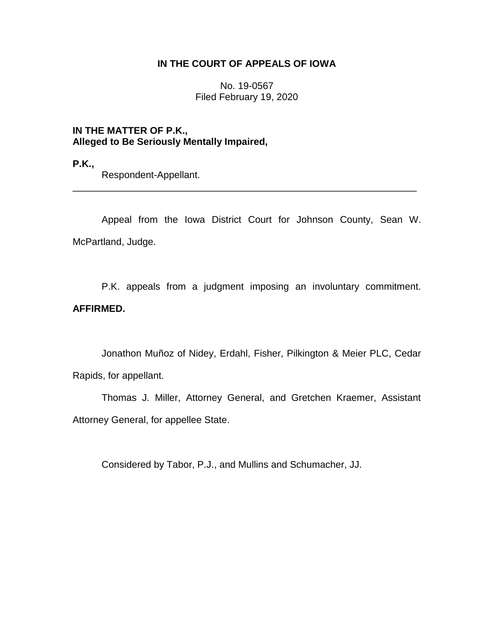# **IN THE COURT OF APPEALS OF IOWA**

No. 19-0567 Filed February 19, 2020

**IN THE MATTER OF P.K., Alleged to Be Seriously Mentally Impaired,**

**P.K.,**

Respondent-Appellant.

Appeal from the Iowa District Court for Johnson County, Sean W. McPartland, Judge.

\_\_\_\_\_\_\_\_\_\_\_\_\_\_\_\_\_\_\_\_\_\_\_\_\_\_\_\_\_\_\_\_\_\_\_\_\_\_\_\_\_\_\_\_\_\_\_\_\_\_\_\_\_\_\_\_\_\_\_\_\_\_\_\_

P.K. appeals from a judgment imposing an involuntary commitment. **AFFIRMED.**

Jonathon Muñoz of Nidey, Erdahl, Fisher, Pilkington & Meier PLC, Cedar Rapids, for appellant.

Thomas J. Miller, Attorney General, and Gretchen Kraemer, Assistant Attorney General, for appellee State.

Considered by Tabor, P.J., and Mullins and Schumacher, JJ.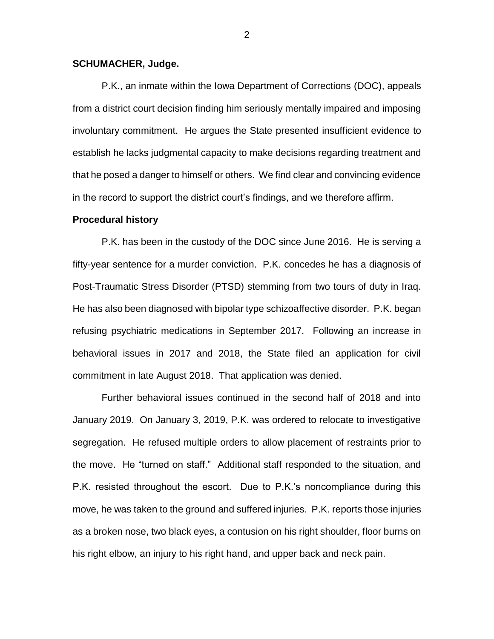## **SCHUMACHER, Judge.**

P.K., an inmate within the Iowa Department of Corrections (DOC), appeals from a district court decision finding him seriously mentally impaired and imposing involuntary commitment. He argues the State presented insufficient evidence to establish he lacks judgmental capacity to make decisions regarding treatment and that he posed a danger to himself or others. We find clear and convincing evidence in the record to support the district court's findings, and we therefore affirm.

#### **Procedural history**

P.K. has been in the custody of the DOC since June 2016. He is serving a fifty-year sentence for a murder conviction. P.K. concedes he has a diagnosis of Post-Traumatic Stress Disorder (PTSD) stemming from two tours of duty in Iraq. He has also been diagnosed with bipolar type schizoaffective disorder. P.K. began refusing psychiatric medications in September 2017. Following an increase in behavioral issues in 2017 and 2018, the State filed an application for civil commitment in late August 2018. That application was denied.

Further behavioral issues continued in the second half of 2018 and into January 2019. On January 3, 2019, P.K. was ordered to relocate to investigative segregation. He refused multiple orders to allow placement of restraints prior to the move. He "turned on staff." Additional staff responded to the situation, and P.K. resisted throughout the escort. Due to P.K.'s noncompliance during this move, he was taken to the ground and suffered injuries. P.K. reports those injuries as a broken nose, two black eyes, a contusion on his right shoulder, floor burns on his right elbow, an injury to his right hand, and upper back and neck pain.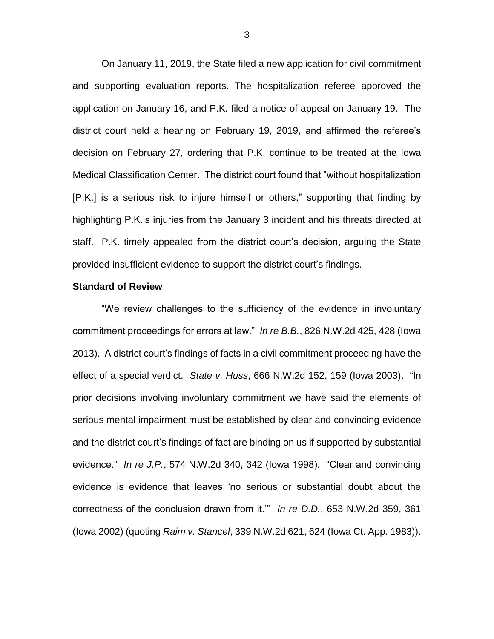On January 11, 2019, the State filed a new application for civil commitment and supporting evaluation reports. The hospitalization referee approved the application on January 16, and P.K. filed a notice of appeal on January 19. The district court held a hearing on February 19, 2019, and affirmed the referee's decision on February 27, ordering that P.K. continue to be treated at the Iowa Medical Classification Center. The district court found that "without hospitalization [P.K.] is a serious risk to injure himself or others," supporting that finding by highlighting P.K.'s injuries from the January 3 incident and his threats directed at staff. P.K. timely appealed from the district court's decision, arguing the State provided insufficient evidence to support the district court's findings.

#### **Standard of Review**

"We review challenges to the sufficiency of the evidence in involuntary commitment proceedings for errors at law." *In re B.B.*, 826 N.W.2d 425, 428 (Iowa 2013). A district court's findings of facts in a civil commitment proceeding have the effect of a special verdict. *State v. Huss*, 666 N.W.2d 152, 159 (Iowa 2003). "In prior decisions involving involuntary commitment we have said the elements of serious mental impairment must be established by clear and convincing evidence and the district court's findings of fact are binding on us if supported by substantial evidence." *In re J.P.*, 574 N.W.2d 340, 342 (Iowa 1998). "Clear and convincing evidence is evidence that leaves 'no serious or substantial doubt about the correctness of the conclusion drawn from it.'" *In re D.D.*, 653 N.W.2d 359, 361 (Iowa 2002) (quoting *Raim v. Stancel*, 339 N.W.2d 621, 624 (Iowa Ct. App. 1983)).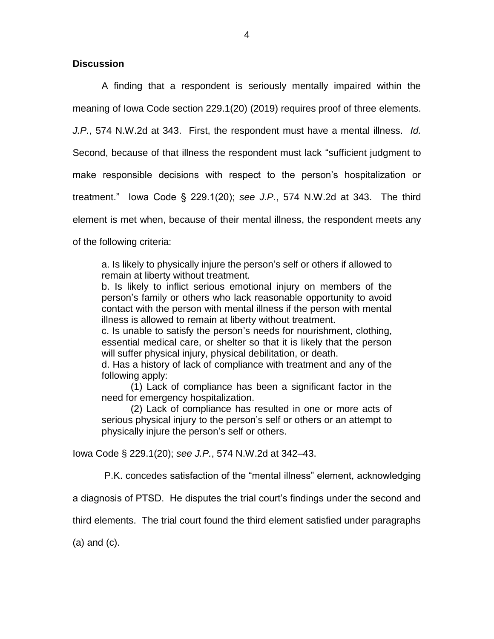# **Discussion**

A finding that a respondent is seriously mentally impaired within the meaning of Iowa Code section 229.1(20) (2019) requires proof of three elements. *J.P.*, 574 N.W.2d at 343. First, the respondent must have a mental illness. *Id.*  Second, because of that illness the respondent must lack "sufficient judgment to make responsible decisions with respect to the person's hospitalization or treatment." Iowa Code § 229.1(20); *see J.P.*, 574 N.W.2d at 343. The third element is met when, because of their mental illness, the respondent meets any of the following criteria:

a. Is likely to physically injure the person's self or others if allowed to remain at liberty without treatment.

b. Is likely to inflict serious emotional injury on members of the person's family or others who lack reasonable opportunity to avoid contact with the person with mental illness if the person with mental illness is allowed to remain at liberty without treatment.

c. Is unable to satisfy the person's needs for nourishment, clothing, essential medical care, or shelter so that it is likely that the person will suffer physical injury, physical debilitation, or death.

d. Has a history of lack of compliance with treatment and any of the following apply:

(1) Lack of compliance has been a significant factor in the need for emergency hospitalization.

(2) Lack of compliance has resulted in one or more acts of serious physical injury to the person's self or others or an attempt to physically injure the person's self or others.

Iowa Code § 229.1(20); *see J.P.*, 574 N.W.2d at 342–43.

P.K. concedes satisfaction of the "mental illness" element, acknowledging

a diagnosis of PTSD. He disputes the trial court's findings under the second and

third elements. The trial court found the third element satisfied under paragraphs

(a) and (c).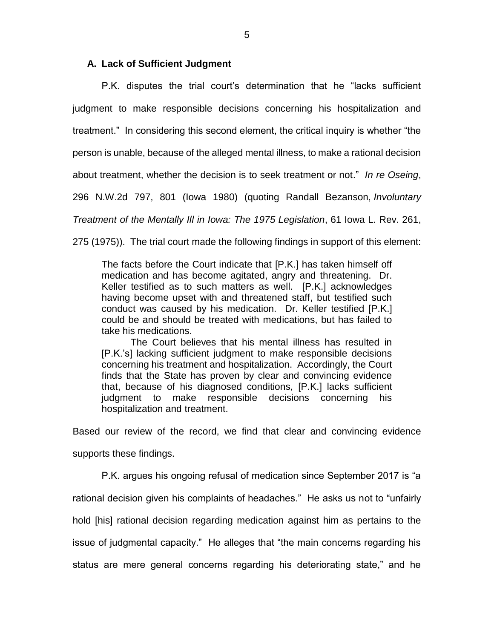## **A. Lack of Sufficient Judgment**

P.K. disputes the trial court's determination that he "lacks sufficient judgment to make responsible decisions concerning his hospitalization and treatment." In considering this second element, the critical inquiry is whether "the person is unable, because of the alleged mental illness, to make a rational decision

about treatment, whether the decision is to seek treatment or not." *In re Oseing*,

296 N.W.2d 797, 801 (Iowa 1980) (quoting Randall Bezanson, *Involuntary* 

*Treatment of the Mentally Ill in Iowa: The 1975 Legislation*, 61 Iowa L. Rev. 261,

275 (1975)). The trial court made the following findings in support of this element:

The facts before the Court indicate that [P.K.] has taken himself off medication and has become agitated, angry and threatening. Dr. Keller testified as to such matters as well. [P.K.] acknowledges having become upset with and threatened staff, but testified such conduct was caused by his medication. Dr. Keller testified [P.K.] could be and should be treated with medications, but has failed to take his medications.

The Court believes that his mental illness has resulted in [P.K.'s] lacking sufficient judgment to make responsible decisions concerning his treatment and hospitalization. Accordingly, the Court finds that the State has proven by clear and convincing evidence that, because of his diagnosed conditions, [P.K.] lacks sufficient judgment to make responsible decisions concerning his hospitalization and treatment.

Based our review of the record, we find that clear and convincing evidence

supports these findings.

P.K. argues his ongoing refusal of medication since September 2017 is "a rational decision given his complaints of headaches." He asks us not to "unfairly hold [his] rational decision regarding medication against him as pertains to the issue of judgmental capacity." He alleges that "the main concerns regarding his status are mere general concerns regarding his deteriorating state," and he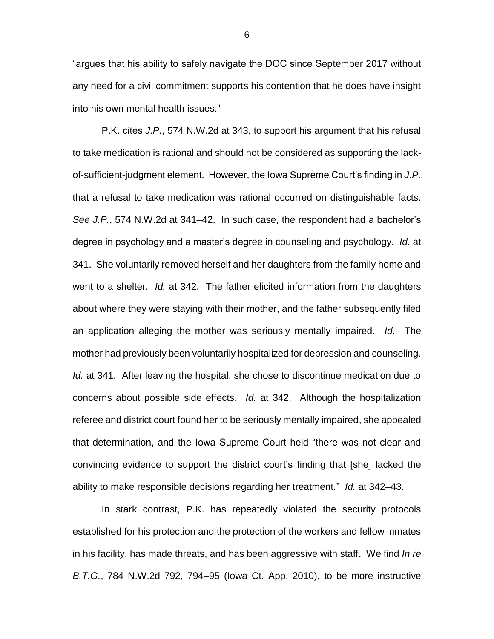"argues that his ability to safely navigate the DOC since September 2017 without any need for a civil commitment supports his contention that he does have insight into his own mental health issues."

P.K. cites *J.P.*, 574 N.W.2d at 343, to support his argument that his refusal to take medication is rational and should not be considered as supporting the lackof-sufficient-judgment element. However, the Iowa Supreme Court's finding in *J.P.*  that a refusal to take medication was rational occurred on distinguishable facts. *See J.P.*, 574 N.W.2d at 341–42. In such case, the respondent had a bachelor's degree in psychology and a master's degree in counseling and psychology. *Id.* at 341. She voluntarily removed herself and her daughters from the family home and went to a shelter. *Id.* at 342. The father elicited information from the daughters about where they were staying with their mother, and the father subsequently filed an application alleging the mother was seriously mentally impaired. *Id.* The mother had previously been voluntarily hospitalized for depression and counseling. *Id.* at 341. After leaving the hospital, she chose to discontinue medication due to concerns about possible side effects. *Id.* at 342. Although the hospitalization referee and district court found her to be seriously mentally impaired, she appealed that determination, and the Iowa Supreme Court held "there was not clear and convincing evidence to support the district court's finding that [she] lacked the ability to make responsible decisions regarding her treatment." *Id.* at 342–43.

In stark contrast, P.K. has repeatedly violated the security protocols established for his protection and the protection of the workers and fellow inmates in his facility, has made threats, and has been aggressive with staff. We find *In re B.T.G.*, 784 N.W.2d 792, 794–95 (Iowa Ct. App. 2010), to be more instructive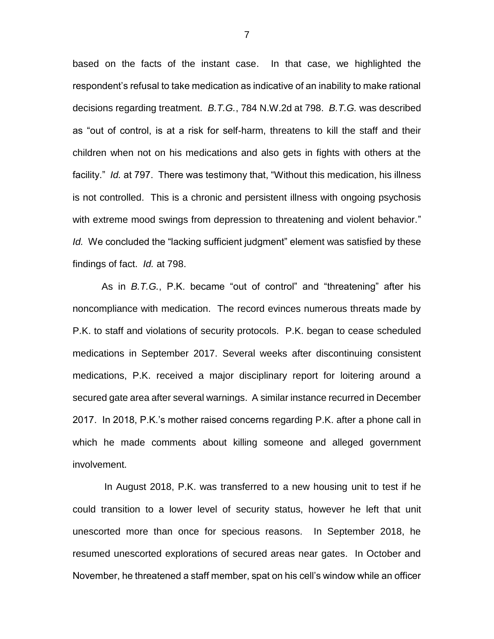based on the facts of the instant case. In that case, we highlighted the respondent's refusal to take medication as indicative of an inability to make rational decisions regarding treatment. *B.T.G.*, 784 N.W.2d at 798. *B.T.G.* was described as "out of control, is at a risk for self-harm, threatens to kill the staff and their children when not on his medications and also gets in fights with others at the facility." *Id.* at 797. There was testimony that, "Without this medication, his illness is not controlled. This is a chronic and persistent illness with ongoing psychosis with extreme mood swings from depression to threatening and violent behavior." *Id.* We concluded the "lacking sufficient judgment" element was satisfied by these findings of fact. *Id.* at 798.

As in *B.T.G.*, P.K. became "out of control" and "threatening" after his noncompliance with medication. The record evinces numerous threats made by P.K. to staff and violations of security protocols. P.K. began to cease scheduled medications in September 2017. Several weeks after discontinuing consistent medications, P.K. received a major disciplinary report for loitering around a secured gate area after several warnings. A similar instance recurred in December 2017. In 2018, P.K.'s mother raised concerns regarding P.K. after a phone call in which he made comments about killing someone and alleged government involvement.

In August 2018, P.K. was transferred to a new housing unit to test if he could transition to a lower level of security status, however he left that unit unescorted more than once for specious reasons. In September 2018, he resumed unescorted explorations of secured areas near gates. In October and November, he threatened a staff member, spat on his cell's window while an officer

7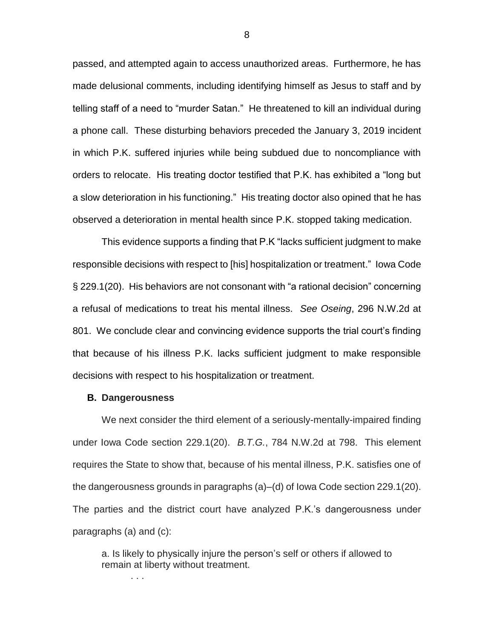passed, and attempted again to access unauthorized areas. Furthermore, he has made delusional comments, including identifying himself as Jesus to staff and by telling staff of a need to "murder Satan." He threatened to kill an individual during a phone call. These disturbing behaviors preceded the January 3, 2019 incident in which P.K. suffered injuries while being subdued due to noncompliance with orders to relocate. His treating doctor testified that P.K. has exhibited a "long but a slow deterioration in his functioning." His treating doctor also opined that he has observed a deterioration in mental health since P.K. stopped taking medication.

This evidence supports a finding that P.K "lacks sufficient judgment to make responsible decisions with respect to [his] hospitalization or treatment." Iowa Code § 229.1(20). His behaviors are not consonant with "a rational decision" concerning a refusal of medications to treat his mental illness. *See Oseing*, 296 N.W.2d at 801.We conclude clear and convincing evidence supports the trial court's finding that because of his illness P.K. lacks sufficient judgment to make responsible decisions with respect to his hospitalization or treatment.

### **B. Dangerousness**

. . .

We next consider the third element of a seriously-mentally-impaired finding under Iowa Code section 229.1(20). *B.T.G.*, 784 N.W.2d at 798. This element requires the State to show that, because of his mental illness, P.K. satisfies one of the dangerousness grounds in paragraphs (a)–(d) of Iowa Code section 229.1(20). The parties and the district court have analyzed P.K.'s dangerousness under paragraphs (a) and (c):

a. Is likely to physically injure the person's self or others if allowed to remain at liberty without treatment.

8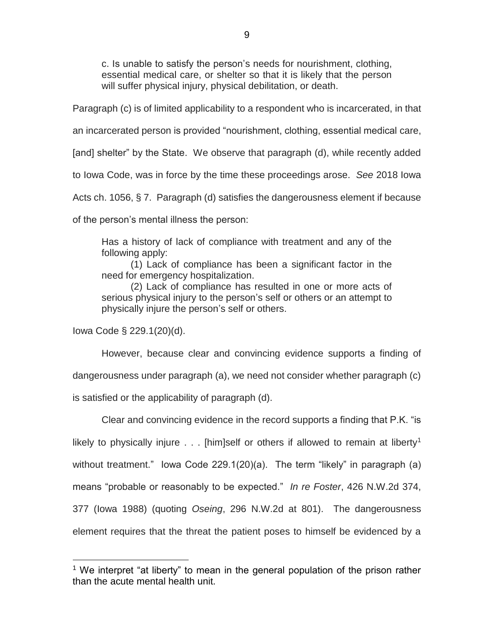c. Is unable to satisfy the person's needs for nourishment, clothing, essential medical care, or shelter so that it is likely that the person will suffer physical injury, physical debilitation, or death.

Paragraph (c) is of limited applicability to a respondent who is incarcerated, in that

an incarcerated person is provided "nourishment, clothing, essential medical care,

[and] shelter" by the State. We observe that paragraph (d), while recently added

to Iowa Code, was in force by the time these proceedings arose. *See* 2018 Iowa

Acts ch. 1056, § 7. Paragraph (d) satisfies the dangerousness element if because

of the person's mental illness the person:

Has a history of lack of compliance with treatment and any of the following apply:

(1) Lack of compliance has been a significant factor in the need for emergency hospitalization.

(2) Lack of compliance has resulted in one or more acts of serious physical injury to the person's self or others or an attempt to physically injure the person's self or others.

Iowa Code § 229.1(20)(d).

 $\overline{a}$ 

However, because clear and convincing evidence supports a finding of dangerousness under paragraph (a), we need not consider whether paragraph (c) is satisfied or the applicability of paragraph (d).

Clear and convincing evidence in the record supports a finding that P.K. "is likely to physically injure  $\ldots$  [him]self or others if allowed to remain at liberty<sup>1</sup> without treatment." lowa Code 229.1(20)(a). The term "likely" in paragraph (a) means "probable or reasonably to be expected." *In re Foster*, 426 N.W.2d 374, 377 (Iowa 1988) (quoting *Oseing*, 296 N.W.2d at 801). The dangerousness element requires that the threat the patient poses to himself be evidenced by a

<sup>&</sup>lt;sup>1</sup> We interpret "at liberty" to mean in the general population of the prison rather than the acute mental health unit.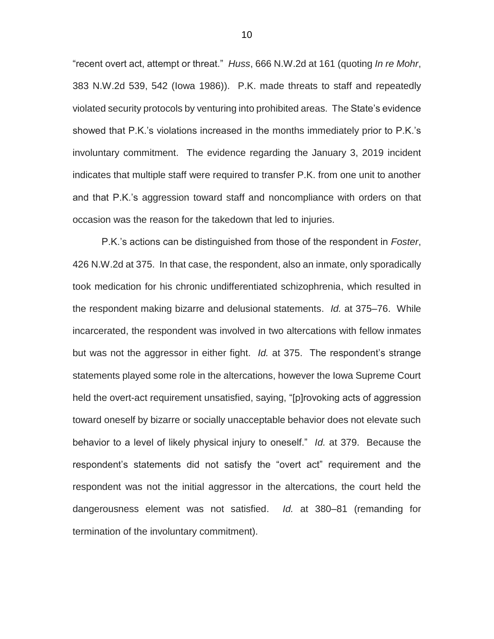"recent overt act, attempt or threat." *Huss*, 666 N.W.2d at 161 (quoting *In re Mohr*, 383 N.W.2d 539, 542 (Iowa 1986)). P.K. made threats to staff and repeatedly violated security protocols by venturing into prohibited areas. The State's evidence showed that P.K.'s violations increased in the months immediately prior to P.K.'s involuntary commitment. The evidence regarding the January 3, 2019 incident indicates that multiple staff were required to transfer P.K. from one unit to another and that P.K.'s aggression toward staff and noncompliance with orders on that occasion was the reason for the takedown that led to injuries.

P.K.'s actions can be distinguished from those of the respondent in *Foster*, 426 N.W.2d at 375. In that case, the respondent, also an inmate, only sporadically took medication for his chronic undifferentiated schizophrenia, which resulted in the respondent making bizarre and delusional statements. *Id.* at 375–76. While incarcerated, the respondent was involved in two altercations with fellow inmates but was not the aggressor in either fight. *Id.* at 375.The respondent's strange statements played some role in the altercations, however the Iowa Supreme Court held the overt-act requirement unsatisfied, saying, "[p]rovoking acts of aggression toward oneself by bizarre or socially unacceptable behavior does not elevate such behavior to a level of likely physical injury to oneself." *Id.* at 379. Because the respondent's statements did not satisfy the "overt act" requirement and the respondent was not the initial aggressor in the altercations, the court held the dangerousness element was not satisfied. *Id.* at 380–81 (remanding for termination of the involuntary commitment).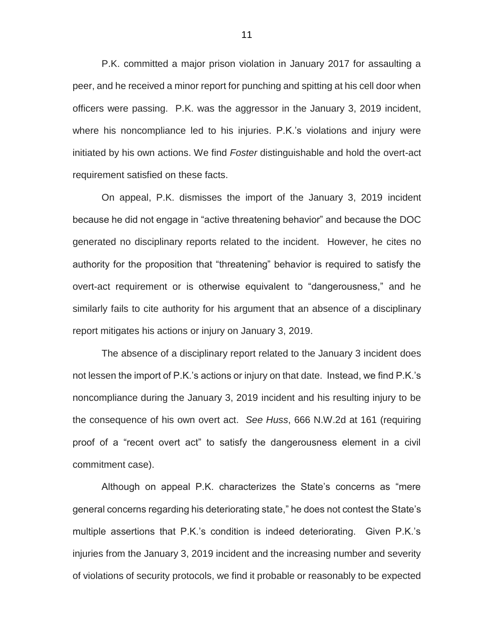P.K. committed a major prison violation in January 2017 for assaulting a peer, and he received a minor report for punching and spitting at his cell door when officers were passing. P.K. was the aggressor in the January 3, 2019 incident, where his noncompliance led to his injuries. P.K.'s violations and injury were initiated by his own actions. We find *Foster* distinguishable and hold the overt-act requirement satisfied on these facts.

On appeal, P.K. dismisses the import of the January 3, 2019 incident because he did not engage in "active threatening behavior" and because the DOC generated no disciplinary reports related to the incident. However, he cites no authority for the proposition that "threatening" behavior is required to satisfy the overt-act requirement or is otherwise equivalent to "dangerousness," and he similarly fails to cite authority for his argument that an absence of a disciplinary report mitigates his actions or injury on January 3, 2019.

The absence of a disciplinary report related to the January 3 incident does not lessen the import of P.K.'s actions or injury on that date. Instead, we find P.K.'s noncompliance during the January 3, 2019 incident and his resulting injury to be the consequence of his own overt act. *See Huss*, 666 N.W.2d at 161 (requiring proof of a "recent overt act" to satisfy the dangerousness element in a civil commitment case).

Although on appeal P.K. characterizes the State's concerns as "mere general concerns regarding his deteriorating state," he does not contest the State's multiple assertions that P.K.'s condition is indeed deteriorating. Given P.K.'s injuries from the January 3, 2019 incident and the increasing number and severity of violations of security protocols, we find it probable or reasonably to be expected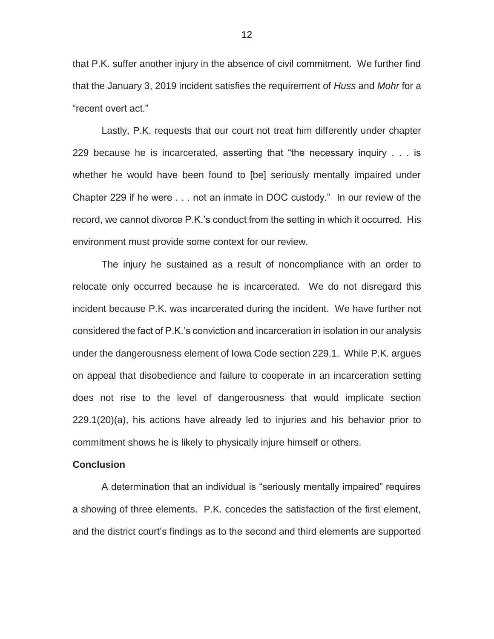that P.K. suffer another injury in the absence of civil commitment. We further find that the January 3, 2019 incident satisfies the requirement of *Huss* and *Mohr* for a "recent overt act."

Lastly, P.K. requests that our court not treat him differently under chapter 229 because he is incarcerated, asserting that "the necessary inquiry . . . is whether he would have been found to [be] seriously mentally impaired under Chapter 229 if he were . . . not an inmate in DOC custody." In our review of the record, we cannot divorce P.K.'s conduct from the setting in which it occurred. His environment must provide some context for our review.

The injury he sustained as a result of noncompliance with an order to relocate only occurred because he is incarcerated. We do not disregard this incident because P.K. was incarcerated during the incident. We have further not considered the fact of P.K.'s conviction and incarceration in isolation in our analysis under the dangerousness element of Iowa Code section 229.1. While P.K. argues on appeal that disobedience and failure to cooperate in an incarceration setting does not rise to the level of dangerousness that would implicate section 229.1(20)(a), his actions have already led to injuries and his behavior prior to commitment shows he is likely to physically injure himself or others.

### **Conclusion**

A determination that an individual is "seriously mentally impaired" requires a showing of three elements. P.K. concedes the satisfaction of the first element, and the district court's findings as to the second and third elements are supported